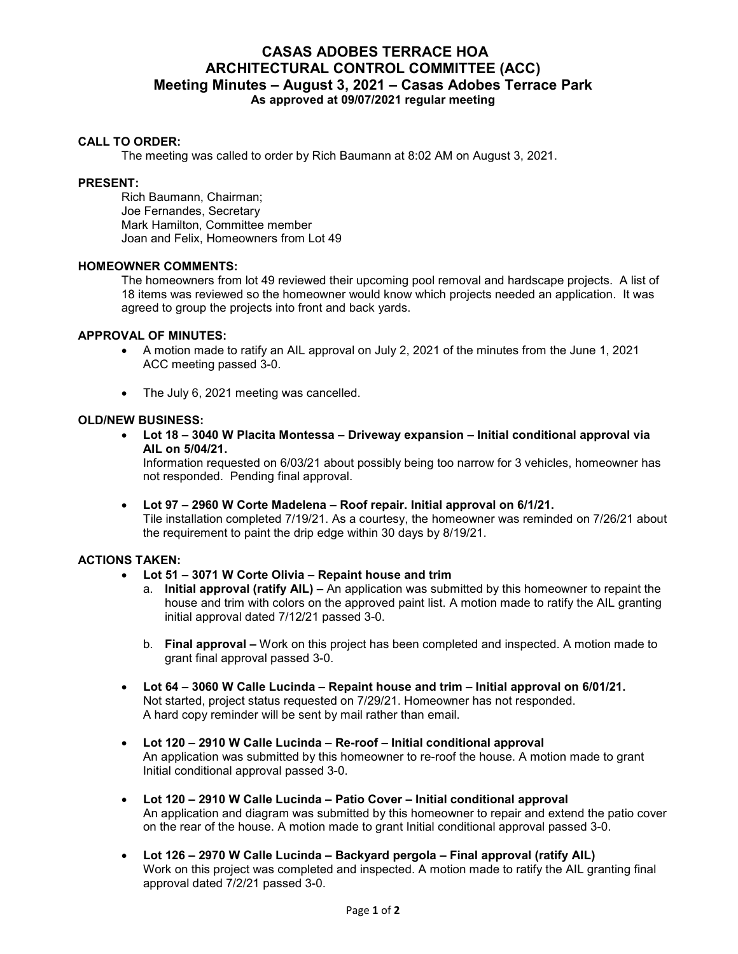# **CASAS ADOBES TERRACE HOA ARCHITECTURAL CONTROL COMMITTEE (ACC) Meeting Minutes – August 3, 2021 – Casas Adobes Terrace Park As approved at 09/07/2021 regular meeting**

## **CALL TO ORDER:**

The meeting was called to order by Rich Baumann at 8:02 AM on August 3, 2021.

## **PRESENT:**

Rich Baumann, Chairman; Joe Fernandes, Secretary Mark Hamilton, Committee member Joan and Felix, Homeowners from Lot 49

## **HOMEOWNER COMMENTS:**

The homeowners from lot 49 reviewed their upcoming pool removal and hardscape projects. A list of 18 items was reviewed so the homeowner would know which projects needed an application. It was agreed to group the projects into front and back yards.

## **APPROVAL OF MINUTES:**

- A motion made to ratify an AIL approval on July 2, 2021 of the minutes from the June 1, 2021 ACC meeting passed 3-0.
- The July 6, 2021 meeting was cancelled.

## **OLD/NEW BUSINESS:**

 **Lot 18 – 3040 W Placita Montessa – Driveway expansion – Initial conditional approval via AIL on 5/04/21.**

Information requested on 6/03/21 about possibly being too narrow for 3 vehicles, homeowner has not responded. Pending final approval.

 **Lot 97 – 2960 W Corte Madelena – Roof repair. Initial approval on 6/1/21.** Tile installation completed 7/19/21. As a courtesy, the homeowner was reminded on 7/26/21 about the requirement to paint the drip edge within 30 days by 8/19/21.

## **ACTIONS TAKEN:**

- **Lot 51 3071 W Corte Olivia Repaint house and trim**
	- a. **Initial approval (ratify AIL) –** An application was submitted by this homeowner to repaint the house and trim with colors on the approved paint list. A motion made to ratify the AIL granting initial approval dated 7/12/21 passed 3-0.
	- b. **Final approval –** Work on this project has been completed and inspected. A motion made to grant final approval passed 3-0.
- **Lot 64 3060 W Calle Lucinda Repaint house and trim Initial approval on 6/01/21.** Not started, project status requested on 7/29/21. Homeowner has not responded. A hard copy reminder will be sent by mail rather than email.
- **Lot 120 2910 W Calle Lucinda Re-roof Initial conditional approval**  An application was submitted by this homeowner to re-roof the house. A motion made to grant Initial conditional approval passed 3-0.
- **Lot 120 2910 W Calle Lucinda Patio Cover Initial conditional approval**  An application and diagram was submitted by this homeowner to repair and extend the patio cover on the rear of the house. A motion made to grant Initial conditional approval passed 3-0.
- **Lot 126 2970 W Calle Lucinda Backyard pergola Final approval (ratify AIL)**  Work on this project was completed and inspected. A motion made to ratify the AIL granting final approval dated 7/2/21 passed 3-0.